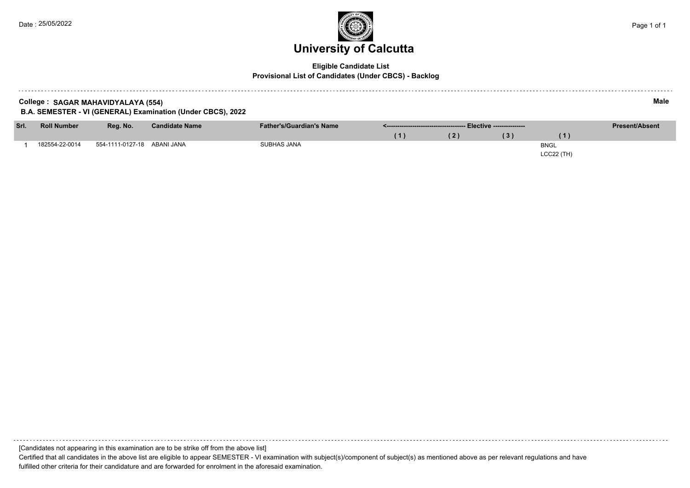

### **Eligible Candidate List Provisional List of Candidates (Under CBCS) - Backlog**

| Male<br>College: SAGAR MAHAVIDYALAYA (554)<br>B.A. SEMESTER - VI (GENERAL) Examination (Under CBCS), 2022 |                    |                             |                       |                                 |                                       |                       |     |             |  |  |  |
|-----------------------------------------------------------------------------------------------------------|--------------------|-----------------------------|-----------------------|---------------------------------|---------------------------------------|-----------------------|-----|-------------|--|--|--|
| Srl.                                                                                                      | <b>Roll Number</b> | Reg. No.                    | <b>Candidate Name</b> | <b>Father's/Guardian's Name</b> | .------------------------------------ | <b>Present/Absent</b> |     |             |  |  |  |
|                                                                                                           |                    |                             |                       |                                 | 11.                                   | (2)                   | (3) | (1)         |  |  |  |
|                                                                                                           | 182554-22-0014     | 554-1111-0127-18 ABANI JANA |                       | SUBHAS JANA                     |                                       |                       |     | <b>BNGL</b> |  |  |  |
|                                                                                                           |                    |                             |                       |                                 |                                       |                       |     | LCC22 (TH)  |  |  |  |

[Candidates not appearing in this examination are to be strike off from the above list] Certified that all candidates in the above list are eligible to appear SEMESTER - VI examination with subject(s)/component of subject(s) as mentioned above as per relevant regulations and have fulfilled other criteria for their candidature and are forwarded for enrolment in the aforesaid examination.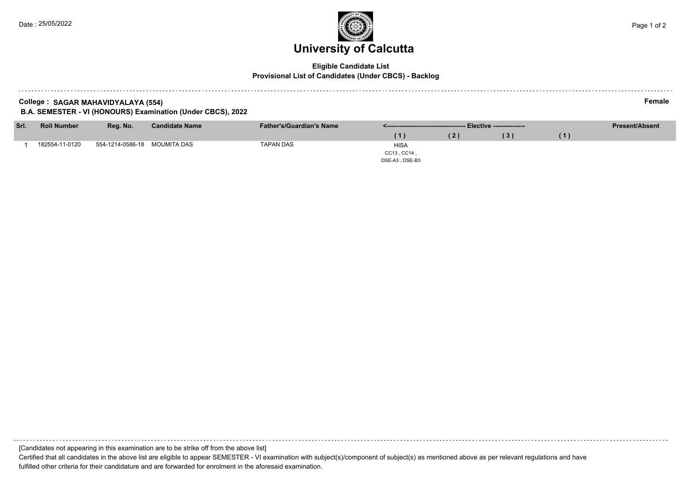# **University of Calcutta**

### **Eligible Candidate List Provisional List of Candidates (Under CBCS) - Backlog**

**College : SAGAR MAHAVIDYALAYA (554) Female**

**B.A. SEMESTER - VI (HONOURS) Examination (Under CBCS), 2022**

| Srl. | <b>Roll Number</b> | Reg. No.                     | <b>Candidate Name</b> | <b>Father's/Guardian's Name</b> |                | <b>Present/Absent</b> |  |
|------|--------------------|------------------------------|-----------------------|---------------------------------|----------------|-----------------------|--|
|      |                    |                              |                       |                                 |                | (3)                   |  |
|      | 182554-11-0120     | 554-1214-0586-18 MOUMITA DAS |                       | TAPAN DAS                       | <b>HISA</b>    |                       |  |
|      |                    |                              |                       |                                 | CC13, CC14,    |                       |  |
|      |                    |                              |                       |                                 | DSE-A3, DSE-B3 |                       |  |

[Candidates not appearing in this examination are to be strike off from the above list]

Certified that all candidates in the above list are eligible to appear SEMESTER - VI examination with subject(s)/component of subject(s) as mentioned above as per relevant regulations and have fulfilled other criteria for their candidature and are forwarded for enrolment in the aforesaid examination.